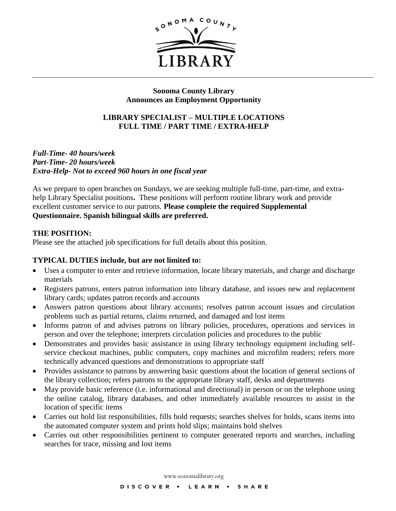

# **Sonoma County Library Announces an Employment Opportunity**

# **LIBRARY SPECIALIST – MULTIPLE LOCATIONS FULL TIME / PART TIME / EXTRA-HELP**

*Full-Time- 40 hours/week Part-Time- 20 hours/week Extra-Help- Not to exceed 960 hours in one fiscal year*

As we prepare to open branches on Sundays, we are seeking multiple full-time, part-time, and extrahelp Library Specialist positions**.** These positions will perform routine library work and provide excellent customer service to our patrons. **Please complete the required Supplemental Questionnaire. Spanish bilingual skills are preferred.** 

### **THE POSITION:**

Please see the attached job specifications for full details about this position.

# **TYPICAL DUTIES include, but are not limited to:**

- Uses a computer to enter and retrieve information, locate library materials, and charge and discharge materials
- Registers patrons, enters patron information into library database, and issues new and replacement library cards; updates patron records and accounts
- Answers patron questions about library accounts; resolves patron account issues and circulation problems such as partial returns, claims returned, and damaged and lost items
- Informs patron of and advises patrons on library policies, procedures, operations and services in person and over the telephone; interprets circulation policies and procedures to the public
- Demonstrates and provides basic assistance in using library technology equipment including selfservice checkout machines, public computers, copy machines and microfilm readers; refers more technically advanced questions and demonstrations to appropriate staff
- Provides assistance to patrons by answering basic questions about the location of general sections of the library collection; refers patrons to the appropriate library staff, desks and departments
- May provide basic reference (i.e. informational and directional) in person or on the telephone using the online catalog, library databases, and other immediately available resources to assist in the location of specific items
- Carries out hold list responsibilities, fills hold requests; searches shelves for holds, scans items into the automated computer system and prints hold slips; maintains hold shelves
- Carries out other responsibilities pertinent to computer generated reports and searches, including searches for trace, missing and lost items

www.sonomalibrary.org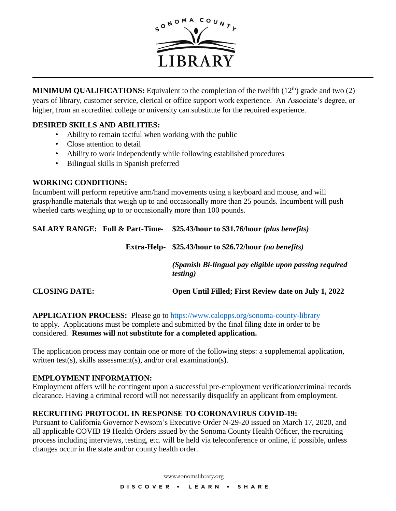

**MINIMUM QUALIFICATIONS:** Equivalent to the completion of the twelfth  $(12<sup>th</sup>)$  grade and two  $(2)$ years of library, customer service, clerical or office support work experience. An Associate's degree, or higher, from an accredited college or university can substitute for the required experience.

# **DESIRED SKILLS AND ABILITIES:**

- Ability to remain tactful when working with the public
- Close attention to detail
- Ability to work independently while following established procedures
- Bilingual skills in Spanish preferred

# **WORKING CONDITIONS:**

Incumbent will perform repetitive arm/hand movements using a keyboard and mouse, and will grasp/handle materials that weigh up to and occasionally more than 25 pounds. Incumbent will push wheeled carts weighing up to or occasionally more than 100 pounds.

| <b>SALARY RANGE: Full &amp; Part-Time-</b> | \$25.43/hour to \$31.76/hour ( <i>plus benefits</i> )                      |
|--------------------------------------------|----------------------------------------------------------------------------|
|                                            | Extra-Help- \$25.43/hour to \$26.72/hour (no benefits)                     |
|                                            | (Spanish Bi-lingual pay eligible upon passing required<br><i>testing</i> ) |
| <b>CLOSING DATE:</b>                       | Open Until Filled; First Review date on July 1, 2022                       |

**APPLICATION PROCESS:** Please go to<https://www.calopps.org/sonoma-county-library> to apply. Applications must be complete and submitted by the final filing date in order to be considered. **Resumes will not substitute for a completed application.** 

The application process may contain one or more of the following steps: a supplemental application, written test(s), skills assessment(s), and/or oral examination(s).

# **EMPLOYMENT INFORMATION:**

Employment offers will be contingent upon a successful pre-employment verification/criminal records clearance. Having a criminal record will not necessarily disqualify an applicant from employment.

# **RECRUITING PROTOCOL IN RESPONSE TO CORONAVIRUS COVID-19:**

Pursuant to California Governor Newsom's Executive Order N-29-20 issued on March 17, 2020, and all applicable COVID 19 Health Orders issued by the Sonoma County Health Officer, the recruiting process including interviews, testing, etc. will be held via teleconference or online, if possible, unless changes occur in the state and/or county health order.

www.sonomalibrary.org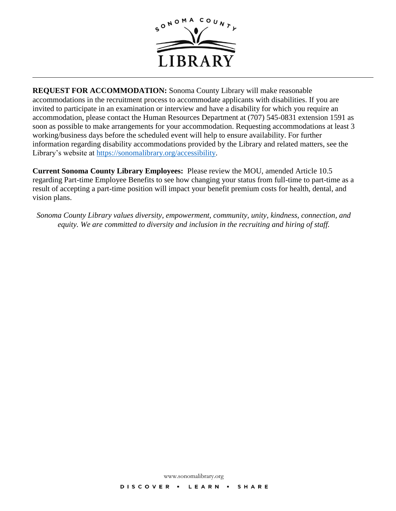

**REQUEST FOR ACCOMMODATION:** Sonoma County Library will make reasonable accommodations in the recruitment process to accommodate applicants with disabilities. If you are invited to participate in an examination or interview and have a disability for which you require an accommodation, please contact the Human Resources Department at (707) 545-0831 extension 1591 as soon as possible to make arrangements for your accommodation. Requesting accommodations at least 3 working/business days before the scheduled event will help to ensure availability. For further information regarding disability accommodations provided by the Library and related matters, see the Library's website at [https://sonomalibrary.org/accessibility.](https://sonomalibrary.org/accessibility)

**Current Sonoma County Library Employees:** Please review the MOU, amended Article 10.5 regarding Part-time Employee Benefits to see how changing your status from full-time to part-time as a result of accepting a part-time position will impact your benefit premium costs for health, dental, and vision plans.

*Sonoma County Library values diversity, empowerment, community, unity, kindness, connection, and equity. We are committed to diversity and inclusion in the recruiting and hiring of staff.*

www.sonomalibrary.org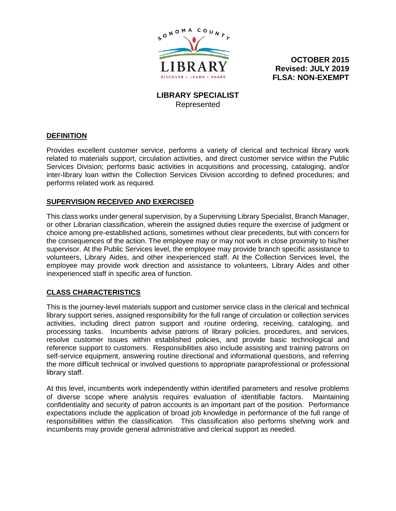

**OCTOBER 2015 Revised: JULY 2019 FLSA: NON-EXEMPT**

**LIBRARY SPECIALIST** Represented

#### **DEFINITION**

Provides excellent customer service, performs a variety of clerical and technical library work related to materials support, circulation activities, and direct customer service within the Public Services Division; performs basic activities in acquisitions and processing, cataloging, and/or inter-library loan within the Collection Services Division according to defined procedures; and performs related work as required.

#### **SUPERVISION RECEIVED AND EXERCISED**

This class works under general supervision, by a Supervising Library Specialist, Branch Manager, or other Librarian classification, wherein the assigned duties require the exercise of judgment or choice among pre-established actions, sometimes without clear precedents, but with concern for the consequences of the action. The employee may or may not work in close proximity to his/her supervisor. At the Public Services level, the employee may provide branch specific assistance to volunteers, Library Aides, and other inexperienced staff. At the Collection Services level, the employee may provide work direction and assistance to volunteers, Library Aides and other inexperienced staff in specific area of function.

#### **CLASS CHARACTERISTICS**

This is the journey-level materials support and customer service class in the clerical and technical library support series, assigned responsibility for the full range of circulation or collection services activities, including direct patron support and routine ordering, receiving, cataloging, and processing tasks. Incumbents advise patrons of library policies, procedures, and services, resolve customer issues within established policies, and provide basic technological and reference support to customers. Responsibilities also include assisting and training patrons on self-service equipment, answering routine directional and informational questions, and referring the more difficult technical or involved questions to appropriate paraprofessional or professional library staff.

At this level, incumbents work independently within identified parameters and resolve problems of diverse scope where analysis requires evaluation of identifiable factors. Maintaining confidentiality and security of patron accounts is an important part of the position. Performance expectations include the application of broad job knowledge in performance of the full range of responsibilities within the classification. This classification also performs shelving work and incumbents may provide general administrative and clerical support as needed.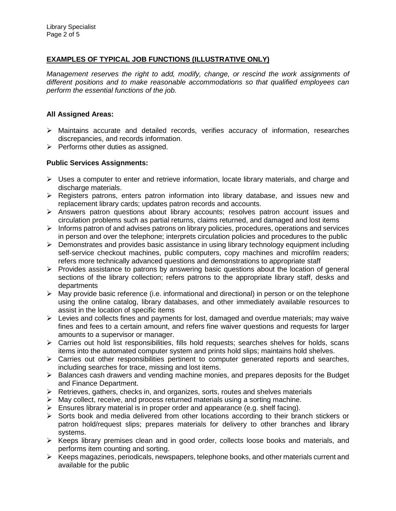### **EXAMPLES OF TYPICAL JOB FUNCTIONS (ILLUSTRATIVE ONLY)**

*Management reserves the right to add, modify, change, or rescind the work assignments of different positions and to make reasonable accommodations so that qualified employees can perform the essential functions of the job.*

#### **All Assigned Areas:**

- $\triangleright$  Maintains accurate and detailed records, verifies accuracy of information, researches discrepancies, and records information.
- $\triangleright$  Performs other duties as assigned.

#### **Public Services Assignments:**

- $\triangleright$  Uses a computer to enter and retrieve information, locate library materials, and charge and discharge materials.
- $\triangleright$  Registers patrons, enters patron information into library database, and issues new and replacement library cards; updates patron records and accounts.
- $\triangleright$  Answers patron questions about library accounts; resolves patron account issues and circulation problems such as partial returns, claims returned, and damaged and lost items
- $\triangleright$  Informs patron of and advises patrons on library policies, procedures, operations and services in person and over the telephone; interprets circulation policies and procedures to the public
- $\triangleright$  Demonstrates and provides basic assistance in using library technology equipment including self-service checkout machines, public computers, copy machines and microfilm readers; refers more technically advanced questions and demonstrations to appropriate staff
- $\triangleright$  Provides assistance to patrons by answering basic questions about the location of general sections of the library collection; refers patrons to the appropriate library staff, desks and departments
- $\triangleright$  May provide basic reference (i.e. informational and directional) in person or on the telephone using the online catalog, library databases, and other immediately available resources to assist in the location of specific items
- $\triangleright$  Levies and collects fines and payments for lost, damaged and overdue materials; may waive fines and fees to a certain amount, and refers fine waiver questions and requests for larger amounts to a supervisor or manager.
- $\triangleright$  Carries out hold list responsibilities, fills hold requests; searches shelves for holds, scans items into the automated computer system and prints hold slips; maintains hold shelves.
- $\triangleright$  Carries out other responsibilities pertinent to computer generated reports and searches, including searches for trace, missing and lost items.
- $\triangleright$  Balances cash drawers and vending machine monies, and prepares deposits for the Budget and Finance Department.
- $\triangleright$  Retrieves, gathers, checks in, and organizes, sorts, routes and shelves materials
- $\triangleright$  May collect, receive, and process returned materials using a sorting machine.
- $\triangleright$  Ensures library material is in proper order and appearance (e.g. shelf facing).
- $\triangleright$  Sorts book and media delivered from other locations according to their branch stickers or patron hold/request slips; prepares materials for delivery to other branches and library systems.
- $\triangleright$  Keeps library premises clean and in good order, collects loose books and materials, and performs item counting and sorting.
- Keeps magazines, periodicals, newspapers, telephone books, and other materials current and available for the public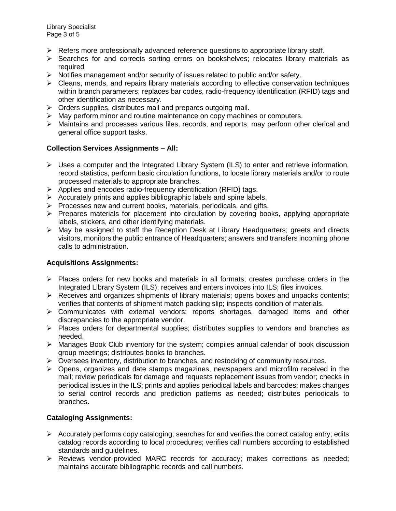- $\triangleright$  Refers more professionally advanced reference questions to appropriate library staff.
- $\triangleright$  Searches for and corrects sorting errors on bookshelves; relocates library materials as required
- $\triangleright$  Notifies management and/or security of issues related to public and/or safety.
- $\triangleright$  Cleans, mends, and repairs library materials according to effective conservation techniques within branch parameters; replaces bar codes, radio-frequency identification (RFID) tags and other identification as necessary.
- $\triangleright$  Orders supplies, distributes mail and prepares outgoing mail.
- $\triangleright$  May perform minor and routine maintenance on copy machines or computers.
- Maintains and processes various files, records, and reports; may perform other clerical and general office support tasks.

# **Collection Services Assignments – All:**

- $\triangleright$  Uses a computer and the Integrated Library System (ILS) to enter and retrieve information, record statistics, perform basic circulation functions, to locate library materials and/or to route processed materials to appropriate branches.
- $\triangleright$  Applies and encodes radio-frequency identification (RFID) tags.
- $\triangleright$  Accurately prints and applies bibliographic labels and spine labels.
- $\triangleright$  Processes new and current books, materials, periodicals, and gifts.
- $\triangleright$  Prepares materials for placement into circulation by covering books, applying appropriate labels, stickers, and other identifying materials.
- May be assigned to staff the Reception Desk at Library Headquarters; greets and directs visitors, monitors the public entrance of Headquarters; answers and transfers incoming phone calls to administration.

# **Acquisitions Assignments:**

- $\triangleright$  Places orders for new books and materials in all formats; creates purchase orders in the Integrated Library System (ILS); receives and enters invoices into ILS; files invoices.
- $\triangleright$  Receives and organizes shipments of library materials; opens boxes and unpacks contents; verifies that contents of shipment match packing slip; inspects condition of materials.
- $\triangleright$  Communicates with external vendors; reports shortages, damaged items and other discrepancies to the appropriate vendor.
- $\triangleright$  Places orders for departmental supplies; distributes supplies to vendors and branches as needed.
- $\triangleright$  Manages Book Club inventory for the system; compiles annual calendar of book discussion group meetings; distributes books to branches.
- $\triangleright$  Oversees inventory, distribution to branches, and restocking of community resources.
- Opens, organizes and date stamps magazines, newspapers and microfilm received in the mail; review periodicals for damage and requests replacement issues from vendor; checks in periodical issues in the ILS; prints and applies periodical labels and barcodes; makes changes to serial control records and prediction patterns as needed; distributes periodicals to branches.

# **Cataloging Assignments:**

- $\triangleright$  Accurately performs copy cataloging; searches for and verifies the correct catalog entry; edits catalog records according to local procedures; verifies call numbers according to established standards and guidelines.
- Reviews vendor-provided MARC records for accuracy; makes corrections as needed; maintains accurate bibliographic records and call numbers.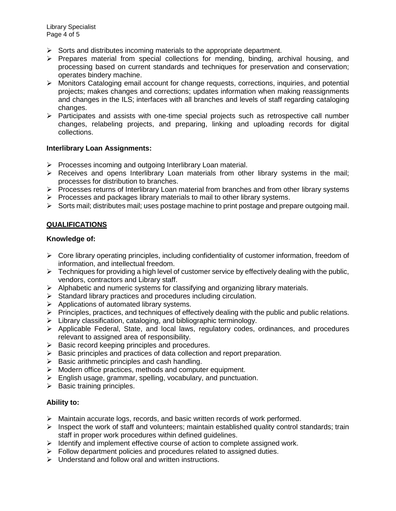- $\triangleright$  Sorts and distributes incoming materials to the appropriate department.
- $\triangleright$  Prepares material from special collections for mending, binding, archival housing, and processing based on current standards and techniques for preservation and conservation; operates bindery machine.
- $\triangleright$  Monitors Cataloging email account for change requests, corrections, inquiries, and potential projects; makes changes and corrections; updates information when making reassignments and changes in the ILS; interfaces with all branches and levels of staff regarding cataloging changes.
- $\triangleright$  Participates and assists with one-time special projects such as retrospective call number changes, relabeling projects, and preparing, linking and uploading records for digital collections.

#### **Interlibrary Loan Assignments:**

- $\triangleright$  Processes incoming and outgoing Interlibrary Loan material.
- $\triangleright$  Receives and opens Interlibrary Loan materials from other library systems in the mail; processes for distribution to branches.
- $\triangleright$  Processes returns of Interlibrary Loan material from branches and from other library systems
- $\triangleright$  Processes and packages library materials to mail to other library systems.
- $\triangleright$  Sorts mail; distributes mail; uses postage machine to print postage and prepare outgoing mail.

### **QUALIFICATIONS**

#### **Knowledge of:**

- $\triangleright$  Core library operating principles, including confidentiality of customer information, freedom of information, and intellectual freedom.
- $\triangleright$  Techniques for providing a high level of customer service by effectively dealing with the public, vendors, contractors and Library staff.
- $\triangleright$  Alphabetic and numeric systems for classifying and organizing library materials.
- $\triangleright$  Standard library practices and procedures including circulation.
- $\triangleright$  Applications of automated library systems.
- $\triangleright$  Principles, practices, and techniques of effectively dealing with the public and public relations.
- $\triangleright$  Library classification, cataloging, and bibliographic terminology.
- $\triangleright$  Applicable Federal, State, and local laws, regulatory codes, ordinances, and procedures relevant to assigned area of responsibility.
- $\triangleright$  Basic record keeping principles and procedures.
- $\triangleright$  Basic principles and practices of data collection and report preparation.
- $\triangleright$  Basic arithmetic principles and cash handling.
- $\triangleright$  Modern office practices, methods and computer equipment.
- $\triangleright$  English usage, grammar, spelling, vocabulary, and punctuation.
- $\triangleright$  Basic training principles.

# **Ability to:**

- $\triangleright$  Maintain accurate logs, records, and basic written records of work performed.
- $\triangleright$  Inspect the work of staff and volunteers; maintain established quality control standards; train staff in proper work procedures within defined guidelines.
- $\triangleright$  Identify and implement effective course of action to complete assigned work.
- $\triangleright$  Follow department policies and procedures related to assigned duties.
- $\triangleright$  Understand and follow oral and written instructions.